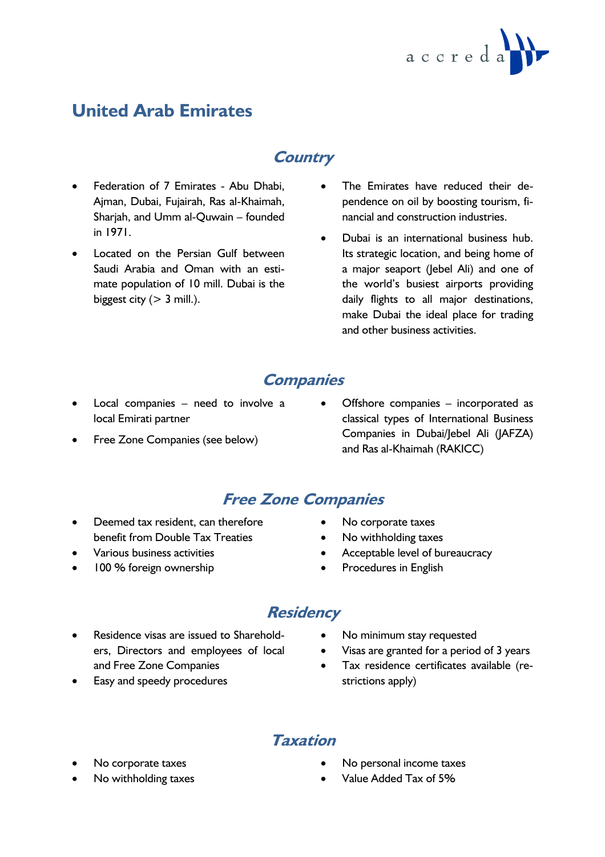

# **United Arab Emirates**

## **Country**

- Federation of 7 Emirates Abu Dhabi, Ajman, Dubai, Fujairah, Ras al-Khaimah, Sharjah, and Umm al-Quwain – founded in 1971.
- Located on the Persian Gulf between Saudi Arabia and Oman with an estimate population of 10 mill. Dubai is the biggest city  $(> 3$  mill.).
- The Emirates have reduced their dependence on oil by boosting tourism, financial and construction industries.
- Dubai is an international business hub. Its strategic location, and being home of a major seaport (Jebel Ali) and one of the world's busiest airports providing daily flights to all major destinations, make Dubai the ideal place for trading and other business activities.

#### **Companies**

- Local companies need to involve a local Emirati partner
- Free Zone Companies (see below)
- Offshore companies incorporated as classical types of International Business Companies in Dubai/Jebel Ali (JAFZA) and Ras al-Khaimah (RAKICC)

### **Free Zone Companies**

- Deemed tax resident, can therefore benefit from Double Tax Treaties
- Various business activities
- 100 % foreign ownership
- No corporate taxes
- No withholding taxes
- Acceptable level of bureaucracy
- Procedures in English

## **Residency**

- Residence visas are issued to Shareholders, Directors and employees of local and Free Zone Companies
- Easy and speedy procedures
- No minimum stay requested
- Visas are granted for a period of 3 years
- Tax residence certificates available (restrictions apply)

### **Taxation**

- No corporate taxes
- No withholding taxes
- No personal income taxes
- Value Added Tax of 5%